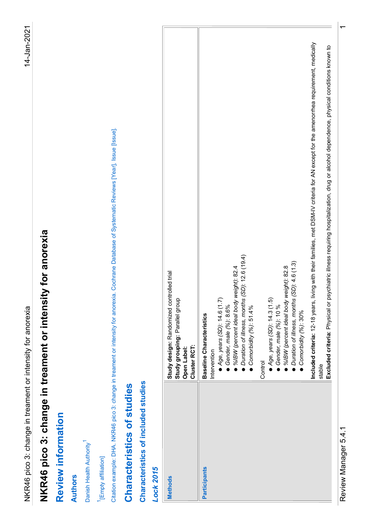| in treament or intensity for anorexia<br>NKR46 pico 3: change                                                                                                                                                                                   |  |
|-------------------------------------------------------------------------------------------------------------------------------------------------------------------------------------------------------------------------------------------------|--|
| hange in treament or intensity for anorexia<br>NKR46 pico 3: cl                                                                                                                                                                                 |  |
| Review information                                                                                                                                                                                                                              |  |
| <b>Authors</b>                                                                                                                                                                                                                                  |  |
| Danish Health Authority <sup>1</sup>                                                                                                                                                                                                            |  |
| <sup>1</sup> [Empty affiliation]                                                                                                                                                                                                                |  |
| Citation example: DHA. NKR46 pico 3: change in treament or intensity for anorexia. Cochrane Database of Systematic Reviews [Year], Issue [Issue].                                                                                               |  |
| Characteristics of studies                                                                                                                                                                                                                      |  |
| Characteristics of included studies                                                                                                                                                                                                             |  |
| <b>Lock 2015</b>                                                                                                                                                                                                                                |  |
| Study design: Randomized controlled trial<br>Study grouping: Parallel group<br>Cluster RCT:<br>Open Label:<br><b>Methods</b>                                                                                                                    |  |
| Duration of illness, months (SD): 12.6 (19.4)<br>%IBW (percent ideal body weight): 82.4<br>● Age, years (SD): 14.6 (1.7)<br>Gender, male (%): 8.6%<br>Comorbidity (%): 51.4%<br><b>Baseline Characteristics</b><br>Intervention<br>Participants |  |
| ● Duration of illness, months (SD): 4.6 (1.3)<br>● Comorbidity (%): 30%<br>%IBW (percent ideal body weight): 82.8<br>● Age, years (SD): 14.3 (1.5)<br>Gender, male (%): 10 %<br>Control                                                         |  |
| Included criteria: 12-18 years, living with their families, met DSM-IV criteria for AN except for the amenorrhea requirement, medically<br>stable                                                                                               |  |
|                                                                                                                                                                                                                                                 |  |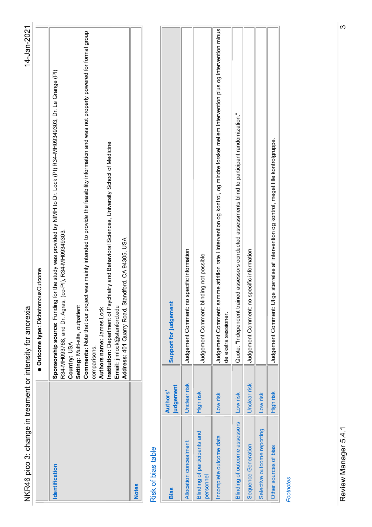| က<br>Judgement Comment: samme attrition rate i intervention og kontrol, og mindre forskel mellem intervention plus og intervention minus<br>Comments: Note that our project was mainly intended to provide the feasibility information and was not properly powered for formal group<br><b>Sponsorship source:</b> Funding for the study was provided by NIMH to Dr. Lock (PI) R34-MH09349303, Dr. Le Grange (PI)<br>R34-MH093768, and Dr. Agras, (co-PI), R34-MH09349303.<br>Quote: "Independent trained assessors conducted assessments blind to participant randomization."<br>Judgement Comment: Ulige størrelse af intervention og kontrol, meget lille kontrolgruppe.<br>Institution: Department of Psychiatry and Behavioral Sciences, University School of Medicine<br>Address: 401 Quarry Road, Standford, CA 94305, USA<br>Judgement Comment: no specific information<br>Judgement Comment: no specific information<br>Judgement Comment: blinding not possible<br>Outcome type: DichotomousOutcome<br>Support for judgement<br>Setting: Multi-site, outpatient<br>Email: jimlock@stanford.edu<br>NKR46 pico 3: change in treament or intensity for anorexia<br>Authors name: James Lock<br>de ekstra sessioner.<br>Country: USA<br>comparisons.<br>Unclear risk<br>Unclear risk<br>judgement<br>High risk<br>High risk<br><b>Authors</b><br>Low risk<br>Low risk<br>Low risk<br>Blinding of outcome assessors<br>Review Manager 5.4.1<br>Selective outcome reporting<br><b>Blinding of participants and</b><br>Incomplete outcome data<br>Allocation concealment<br>Sequence Generation<br>Other sources of bias<br>Risk of bias table<br>Identification<br>personnel<br><b>Footnotes</b><br><b>Notes</b><br><b>Bias</b> |
|-------------------------------------------------------------------------------------------------------------------------------------------------------------------------------------------------------------------------------------------------------------------------------------------------------------------------------------------------------------------------------------------------------------------------------------------------------------------------------------------------------------------------------------------------------------------------------------------------------------------------------------------------------------------------------------------------------------------------------------------------------------------------------------------------------------------------------------------------------------------------------------------------------------------------------------------------------------------------------------------------------------------------------------------------------------------------------------------------------------------------------------------------------------------------------------------------------------------------------------------------------------------------------------------------------------------------------------------------------------------------------------------------------------------------------------------------------------------------------------------------------------------------------------------------------------------------------------------------------------------------------------------------------------------------------------------------------------------------------------|
|                                                                                                                                                                                                                                                                                                                                                                                                                                                                                                                                                                                                                                                                                                                                                                                                                                                                                                                                                                                                                                                                                                                                                                                                                                                                                                                                                                                                                                                                                                                                                                                                                                                                                                                                     |
|                                                                                                                                                                                                                                                                                                                                                                                                                                                                                                                                                                                                                                                                                                                                                                                                                                                                                                                                                                                                                                                                                                                                                                                                                                                                                                                                                                                                                                                                                                                                                                                                                                                                                                                                     |
|                                                                                                                                                                                                                                                                                                                                                                                                                                                                                                                                                                                                                                                                                                                                                                                                                                                                                                                                                                                                                                                                                                                                                                                                                                                                                                                                                                                                                                                                                                                                                                                                                                                                                                                                     |
|                                                                                                                                                                                                                                                                                                                                                                                                                                                                                                                                                                                                                                                                                                                                                                                                                                                                                                                                                                                                                                                                                                                                                                                                                                                                                                                                                                                                                                                                                                                                                                                                                                                                                                                                     |
|                                                                                                                                                                                                                                                                                                                                                                                                                                                                                                                                                                                                                                                                                                                                                                                                                                                                                                                                                                                                                                                                                                                                                                                                                                                                                                                                                                                                                                                                                                                                                                                                                                                                                                                                     |
|                                                                                                                                                                                                                                                                                                                                                                                                                                                                                                                                                                                                                                                                                                                                                                                                                                                                                                                                                                                                                                                                                                                                                                                                                                                                                                                                                                                                                                                                                                                                                                                                                                                                                                                                     |
|                                                                                                                                                                                                                                                                                                                                                                                                                                                                                                                                                                                                                                                                                                                                                                                                                                                                                                                                                                                                                                                                                                                                                                                                                                                                                                                                                                                                                                                                                                                                                                                                                                                                                                                                     |
|                                                                                                                                                                                                                                                                                                                                                                                                                                                                                                                                                                                                                                                                                                                                                                                                                                                                                                                                                                                                                                                                                                                                                                                                                                                                                                                                                                                                                                                                                                                                                                                                                                                                                                                                     |
|                                                                                                                                                                                                                                                                                                                                                                                                                                                                                                                                                                                                                                                                                                                                                                                                                                                                                                                                                                                                                                                                                                                                                                                                                                                                                                                                                                                                                                                                                                                                                                                                                                                                                                                                     |
|                                                                                                                                                                                                                                                                                                                                                                                                                                                                                                                                                                                                                                                                                                                                                                                                                                                                                                                                                                                                                                                                                                                                                                                                                                                                                                                                                                                                                                                                                                                                                                                                                                                                                                                                     |
|                                                                                                                                                                                                                                                                                                                                                                                                                                                                                                                                                                                                                                                                                                                                                                                                                                                                                                                                                                                                                                                                                                                                                                                                                                                                                                                                                                                                                                                                                                                                                                                                                                                                                                                                     |
|                                                                                                                                                                                                                                                                                                                                                                                                                                                                                                                                                                                                                                                                                                                                                                                                                                                                                                                                                                                                                                                                                                                                                                                                                                                                                                                                                                                                                                                                                                                                                                                                                                                                                                                                     |
|                                                                                                                                                                                                                                                                                                                                                                                                                                                                                                                                                                                                                                                                                                                                                                                                                                                                                                                                                                                                                                                                                                                                                                                                                                                                                                                                                                                                                                                                                                                                                                                                                                                                                                                                     |
|                                                                                                                                                                                                                                                                                                                                                                                                                                                                                                                                                                                                                                                                                                                                                                                                                                                                                                                                                                                                                                                                                                                                                                                                                                                                                                                                                                                                                                                                                                                                                                                                                                                                                                                                     |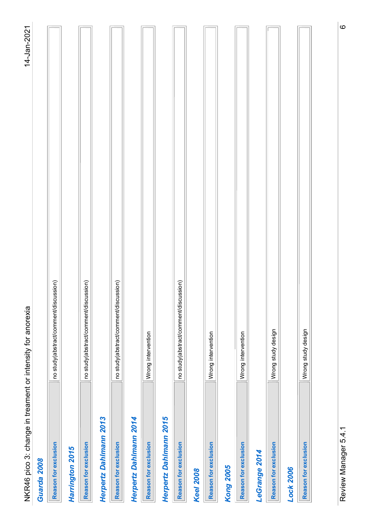| יומים ממי                      |
|--------------------------------|
|                                |
|                                |
|                                |
|                                |
|                                |
|                                |
|                                |
|                                |
|                                |
|                                |
|                                |
| .<br>האמר ביב ביני האמר ה<br>) |
|                                |
|                                |
|                                |
|                                |
|                                |
| ֖֖֚֚֚֚֚֚֚֜֕                    |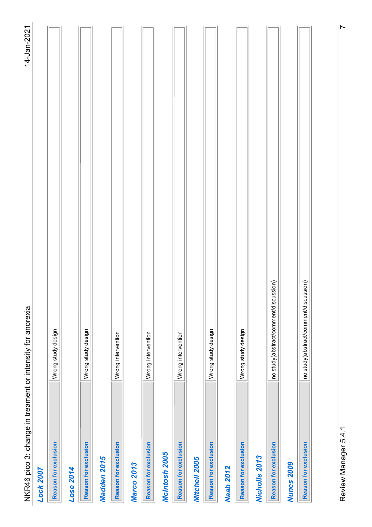| in treament or intensity for anorexia<br>NKR46 pico 3: change | 14-Jan-2021              |
|---------------------------------------------------------------|--------------------------|
| Lock 2007                                                     |                          |
| Wrong study design<br>Reason for exclusion                    |                          |
| Lose 2014                                                     |                          |
| Wrong study design<br>Reason for exclusion                    |                          |
| Madden 2015                                                   |                          |
| Wrong intervention<br>Reason for exclusion                    |                          |
| <b>Marco 2013</b>                                             |                          |
| Wrong intervention<br>Reason for exclusion                    |                          |
| McIntosh 2005                                                 |                          |
| Wrong intervention<br>Reason for exclusion                    |                          |
| Mitchell 2005                                                 |                          |
| Wrong study design<br>Reason for exclusion                    |                          |
| <b>Naab 2012</b>                                              |                          |
| Wrong study design<br>Reason for exclusion                    |                          |
| Nicholls 2013                                                 |                          |
| no study(abstract/comment/discussion)<br>Reason for exclusion |                          |
| <b>Nunes 2009</b>                                             |                          |
| no study(abstract/comment/discussion)<br>Reason for exclusion |                          |
|                                                               |                          |
| Review Manager 5.4.1                                          | $\overline{\phantom{0}}$ |
|                                                               |                          |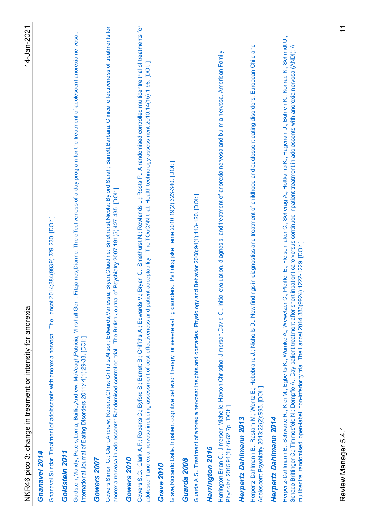| Gowers S.G.; Clark A.F.; Roberts C.; Byford S.; Barrett B.; Griffiths A.; Edwards V.; Bryan C.; Smethurst N.; Rowlands L.; Roots P., A randomised controlled multicentre trial of treatments for<br>Barbara. Clinical effectiveness of treatments for<br>he treatment of adolescent anorexia nervosa<br>Herpertz-Dahlmann B.; Schwarte R.; Krei M.; Egberts K.; Warnke A.; Wewetzer C.; Pfeiffer E.; Fleischhaker C.; Scherag A.; Holtkamp K.; Hagenah U.; Buhren K.; Konrad K.; Schmidt U.;<br>Herpertz-Dahlmann B.; Rastam M.; Wentz E.; Hebebrand J.; Nicholls D New findings in diagnostics and treatment of childhood and adolescent eating disorders. European Child and<br>Adolescent Psychiatry 2013;22(2):S95. [DOI: ]<br>escents with anorexia nervosa (ANDI): A<br>and bulimia nervosa. American Family<br>including assessment of cost-effectiveness and patient acceptability - The TOuCAN trial. Health technology assessment 2010;14(15):1-98. [DOI:]<br>Goldstein,Mandy; Peters,Lorna; Baillie,Andrew; McVeagh,Patricia; Minshall,Gerri; Fitzjames,Dianne. The effectiveness of a day program for t<br>Gowers, Simon G.; Clark, Andrew; Roberts, Chris; Griffiths, Alison; Edwards, Vanessa; Bryan, Claudine; Smethurst, Nicola; Byford, Sarah; Barrett<br>Harrington, Brian C.; Jimerson, Michelle; Haxton, Christina; Jimerson, David C Initial evaluation, diagnosis, and treatment of anorexia nervosa<br>Schade-Brittinger C.; Timmesfeld N.; Dempfle A Day-patient treatment after short inpatient care versus continued inpatient treatment in adoi<br>Grave, Riccardo Dalle. Inpatient cognitive behavior therapy for severe eating disorders Psihologijske Teme 2010;19(2):323-340. [DOI:]<br>anorexia nervosa in adolescents: Randomised controlled trial The British Journal of Psychiatry 2007;191(5):427-435. [DOI:]<br>Guarda A.S Treatment of anorexia nervosa: Insights and obstacles. Physiology and Behavior 2008;94(1):113-120. [DOI: ]<br>of adolescents with anorexia nervosa The Lancet 2014;384(9939):229-230. [DOI:<br>multicentre, randomised, open-label, non-inferiority trial. The Lancet 2014;383(9924);1222-1229. [DOI:]<br>NKR46 pico 3: change in treament or intensity for anorexia<br>International Journal of Eating Disorders 2011;44(1):29-38. [DOI:]<br>Physician 2015;91(1):46-52 7p. [DOI: ]<br>Herpertz Dahlmann 2013<br>Herpertz Dahlmann 2014<br>Gnanavel, Sundar. Treatment<br>adolescent anorexia nervosa<br>Harrington 2015<br>Goldstein 2011<br>Gnanavel 2014<br>Gowers 2010<br>Gowers 2007<br>Guarda 2008<br>Grave 2010 |
|-----------------------------------------------------------------------------------------------------------------------------------------------------------------------------------------------------------------------------------------------------------------------------------------------------------------------------------------------------------------------------------------------------------------------------------------------------------------------------------------------------------------------------------------------------------------------------------------------------------------------------------------------------------------------------------------------------------------------------------------------------------------------------------------------------------------------------------------------------------------------------------------------------------------------------------------------------------------------------------------------------------------------------------------------------------------------------------------------------------------------------------------------------------------------------------------------------------------------------------------------------------------------------------------------------------------------------------------------------------------------------------------------------------------------------------------------------------------------------------------------------------------------------------------------------------------------------------------------------------------------------------------------------------------------------------------------------------------------------------------------------------------------------------------------------------------------------------------------------------------------------------------------------------------------------------------------------------------------------------------------------------------------------------------------------------------------------------------------------------------------------------------------------------------------------------------------------------------------------------------------------------------------------------------------------------------------------------------------------------------------------------------------------------------------------------------------------------------------------------------------------------------------------------------------------------------------------------------|
|                                                                                                                                                                                                                                                                                                                                                                                                                                                                                                                                                                                                                                                                                                                                                                                                                                                                                                                                                                                                                                                                                                                                                                                                                                                                                                                                                                                                                                                                                                                                                                                                                                                                                                                                                                                                                                                                                                                                                                                                                                                                                                                                                                                                                                                                                                                                                                                                                                                                                                                                                                                         |
|                                                                                                                                                                                                                                                                                                                                                                                                                                                                                                                                                                                                                                                                                                                                                                                                                                                                                                                                                                                                                                                                                                                                                                                                                                                                                                                                                                                                                                                                                                                                                                                                                                                                                                                                                                                                                                                                                                                                                                                                                                                                                                                                                                                                                                                                                                                                                                                                                                                                                                                                                                                         |
|                                                                                                                                                                                                                                                                                                                                                                                                                                                                                                                                                                                                                                                                                                                                                                                                                                                                                                                                                                                                                                                                                                                                                                                                                                                                                                                                                                                                                                                                                                                                                                                                                                                                                                                                                                                                                                                                                                                                                                                                                                                                                                                                                                                                                                                                                                                                                                                                                                                                                                                                                                                         |
|                                                                                                                                                                                                                                                                                                                                                                                                                                                                                                                                                                                                                                                                                                                                                                                                                                                                                                                                                                                                                                                                                                                                                                                                                                                                                                                                                                                                                                                                                                                                                                                                                                                                                                                                                                                                                                                                                                                                                                                                                                                                                                                                                                                                                                                                                                                                                                                                                                                                                                                                                                                         |
|                                                                                                                                                                                                                                                                                                                                                                                                                                                                                                                                                                                                                                                                                                                                                                                                                                                                                                                                                                                                                                                                                                                                                                                                                                                                                                                                                                                                                                                                                                                                                                                                                                                                                                                                                                                                                                                                                                                                                                                                                                                                                                                                                                                                                                                                                                                                                                                                                                                                                                                                                                                         |
|                                                                                                                                                                                                                                                                                                                                                                                                                                                                                                                                                                                                                                                                                                                                                                                                                                                                                                                                                                                                                                                                                                                                                                                                                                                                                                                                                                                                                                                                                                                                                                                                                                                                                                                                                                                                                                                                                                                                                                                                                                                                                                                                                                                                                                                                                                                                                                                                                                                                                                                                                                                         |
|                                                                                                                                                                                                                                                                                                                                                                                                                                                                                                                                                                                                                                                                                                                                                                                                                                                                                                                                                                                                                                                                                                                                                                                                                                                                                                                                                                                                                                                                                                                                                                                                                                                                                                                                                                                                                                                                                                                                                                                                                                                                                                                                                                                                                                                                                                                                                                                                                                                                                                                                                                                         |
|                                                                                                                                                                                                                                                                                                                                                                                                                                                                                                                                                                                                                                                                                                                                                                                                                                                                                                                                                                                                                                                                                                                                                                                                                                                                                                                                                                                                                                                                                                                                                                                                                                                                                                                                                                                                                                                                                                                                                                                                                                                                                                                                                                                                                                                                                                                                                                                                                                                                                                                                                                                         |
|                                                                                                                                                                                                                                                                                                                                                                                                                                                                                                                                                                                                                                                                                                                                                                                                                                                                                                                                                                                                                                                                                                                                                                                                                                                                                                                                                                                                                                                                                                                                                                                                                                                                                                                                                                                                                                                                                                                                                                                                                                                                                                                                                                                                                                                                                                                                                                                                                                                                                                                                                                                         |
|                                                                                                                                                                                                                                                                                                                                                                                                                                                                                                                                                                                                                                                                                                                                                                                                                                                                                                                                                                                                                                                                                                                                                                                                                                                                                                                                                                                                                                                                                                                                                                                                                                                                                                                                                                                                                                                                                                                                                                                                                                                                                                                                                                                                                                                                                                                                                                                                                                                                                                                                                                                         |
|                                                                                                                                                                                                                                                                                                                                                                                                                                                                                                                                                                                                                                                                                                                                                                                                                                                                                                                                                                                                                                                                                                                                                                                                                                                                                                                                                                                                                                                                                                                                                                                                                                                                                                                                                                                                                                                                                                                                                                                                                                                                                                                                                                                                                                                                                                                                                                                                                                                                                                                                                                                         |
|                                                                                                                                                                                                                                                                                                                                                                                                                                                                                                                                                                                                                                                                                                                                                                                                                                                                                                                                                                                                                                                                                                                                                                                                                                                                                                                                                                                                                                                                                                                                                                                                                                                                                                                                                                                                                                                                                                                                                                                                                                                                                                                                                                                                                                                                                                                                                                                                                                                                                                                                                                                         |
|                                                                                                                                                                                                                                                                                                                                                                                                                                                                                                                                                                                                                                                                                                                                                                                                                                                                                                                                                                                                                                                                                                                                                                                                                                                                                                                                                                                                                                                                                                                                                                                                                                                                                                                                                                                                                                                                                                                                                                                                                                                                                                                                                                                                                                                                                                                                                                                                                                                                                                                                                                                         |
|                                                                                                                                                                                                                                                                                                                                                                                                                                                                                                                                                                                                                                                                                                                                                                                                                                                                                                                                                                                                                                                                                                                                                                                                                                                                                                                                                                                                                                                                                                                                                                                                                                                                                                                                                                                                                                                                                                                                                                                                                                                                                                                                                                                                                                                                                                                                                                                                                                                                                                                                                                                         |
|                                                                                                                                                                                                                                                                                                                                                                                                                                                                                                                                                                                                                                                                                                                                                                                                                                                                                                                                                                                                                                                                                                                                                                                                                                                                                                                                                                                                                                                                                                                                                                                                                                                                                                                                                                                                                                                                                                                                                                                                                                                                                                                                                                                                                                                                                                                                                                                                                                                                                                                                                                                         |
|                                                                                                                                                                                                                                                                                                                                                                                                                                                                                                                                                                                                                                                                                                                                                                                                                                                                                                                                                                                                                                                                                                                                                                                                                                                                                                                                                                                                                                                                                                                                                                                                                                                                                                                                                                                                                                                                                                                                                                                                                                                                                                                                                                                                                                                                                                                                                                                                                                                                                                                                                                                         |
|                                                                                                                                                                                                                                                                                                                                                                                                                                                                                                                                                                                                                                                                                                                                                                                                                                                                                                                                                                                                                                                                                                                                                                                                                                                                                                                                                                                                                                                                                                                                                                                                                                                                                                                                                                                                                                                                                                                                                                                                                                                                                                                                                                                                                                                                                                                                                                                                                                                                                                                                                                                         |
|                                                                                                                                                                                                                                                                                                                                                                                                                                                                                                                                                                                                                                                                                                                                                                                                                                                                                                                                                                                                                                                                                                                                                                                                                                                                                                                                                                                                                                                                                                                                                                                                                                                                                                                                                                                                                                                                                                                                                                                                                                                                                                                                                                                                                                                                                                                                                                                                                                                                                                                                                                                         |
|                                                                                                                                                                                                                                                                                                                                                                                                                                                                                                                                                                                                                                                                                                                                                                                                                                                                                                                                                                                                                                                                                                                                                                                                                                                                                                                                                                                                                                                                                                                                                                                                                                                                                                                                                                                                                                                                                                                                                                                                                                                                                                                                                                                                                                                                                                                                                                                                                                                                                                                                                                                         |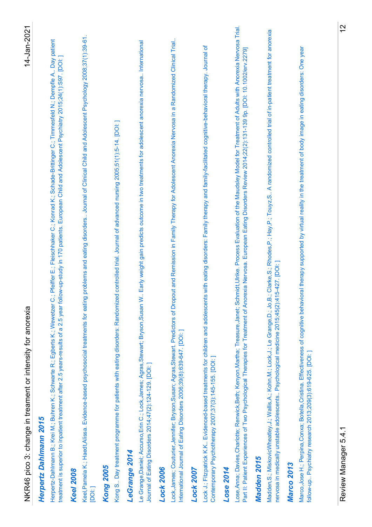| Keel,Pamela K.; Haedt,Alissa. Evidence-based psychosocial treatments for eating problems and eating disorders Journal of Clinical Child and Adolescent Psychology 2008;37(1):39-61.<br>Day patient<br>treatment is superior to inpatient treatment after 2.5 years-results of a 2.5 year follow-up-study in 170 patients. European Child and Adolescent Psychiatry 2015;24(1):S97. [DOI: ]<br>Timmesfeld N.; Dempfle A<br>Ö<br>Herpertz-Dahlmann B.; Krei M.; Buhren K.; Schwarte R.; Egberts K.; Wewetzer C.; Pfeiffer E.; Fleischhaker C.; Konrad K.; Schade-Brittinger<br>NKR46 pico 3: change in treament or intensity for anorexia |
|-----------------------------------------------------------------------------------------------------------------------------------------------------------------------------------------------------------------------------------------------------------------------------------------------------------------------------------------------------------------------------------------------------------------------------------------------------------------------------------------------------------------------------------------------------------------------------------------------------------------------------------------|
|                                                                                                                                                                                                                                                                                                                                                                                                                                                                                                                                                                                                                                         |
|                                                                                                                                                                                                                                                                                                                                                                                                                                                                                                                                                                                                                                         |
|                                                                                                                                                                                                                                                                                                                                                                                                                                                                                                                                                                                                                                         |
| 14. [DOI: ]<br>Kong S Day treatment programme for patients with eating disorders: Randomized controlled trial. Journal of advanced nursing 2005;51(1):5-                                                                                                                                                                                                                                                                                                                                                                                                                                                                                |
| Le Grange, Daniel; Accurso, Erin C.; Lock, James; Agras, Stewart; Bryson, Susan W Early weight gain predicts outcome in two treatments for adolescent anorexia nervosa International                                                                                                                                                                                                                                                                                                                                                                                                                                                    |
| Journal of Eating Disorders 2014;47(2):124-129. [DOI: ]                                                                                                                                                                                                                                                                                                                                                                                                                                                                                                                                                                                 |
| Lock,James; Couturier; Bryson,Susan; Agras,Stewart. Predictors of Dropout and Remission in Family Therapy for Adolescent Anorexia Nervosa in a Randomized Clinical Trial.<br>International Journal of Eating Disorders 2006;39(8):639-647. [DOI:]                                                                                                                                                                                                                                                                                                                                                                                       |
|                                                                                                                                                                                                                                                                                                                                                                                                                                                                                                                                                                                                                                         |
| Lock J.; Fitzpatrick K.K Evidenced-based treatments for children and adolescents with eating disorders: Family therapy and family-facilitated cognitive-behavioral therapy. Journal of<br>Contemporary Psychotherapy 2007;37(3):145-155. [DOI:]                                                                                                                                                                                                                                                                                                                                                                                         |
|                                                                                                                                                                                                                                                                                                                                                                                                                                                                                                                                                                                                                                         |
| Treatment of Adults with Anorexia Nervosa Trial.<br>(2):131-139 9p. [DOI: 10.1002/erv.2279]<br>Part II: Patient Experiences of Two Psychological Therapies for Treatment of Anorexia Nervosa. European Eating Disorders Review 2014;22<br>Lose, Anna; Davies, Charlotte; Renwick, Beth; Kenyon, Martha; Treasure, Janet; Schmidt, Ulrike. Process Evaluation of the Maudsley Model for                                                                                                                                                                                                                                                  |
|                                                                                                                                                                                                                                                                                                                                                                                                                                                                                                                                                                                                                                         |
| Madden,S.; MiskovicWheatley,J.; Wallis,A.; Kohn,M.; Lock,J.; Le Grange,D.; Jo,B.; Clarke,S.; Rhodes,P.; Hay,P.; Touyz,S A randomized controlled trial of in-patient treatment for anorexia<br>nervosa in medically unstable adolescents Psychological medicine 2015;45(2):415-427. [DOI:]                                                                                                                                                                                                                                                                                                                                               |
|                                                                                                                                                                                                                                                                                                                                                                                                                                                                                                                                                                                                                                         |
| Marco,Jose H.; Perpina,Conxa; Botella,Cristina. Effectiveness of cognitive behavioral therapy supported by virtual reality in the treatment of body image in eating disorders: One year<br>follow-up Psychiatry research 2013;209(3):619-625. [DOI: ]                                                                                                                                                                                                                                                                                                                                                                                   |
|                                                                                                                                                                                                                                                                                                                                                                                                                                                                                                                                                                                                                                         |
| $\frac{2}{3}$                                                                                                                                                                                                                                                                                                                                                                                                                                                                                                                                                                                                                           |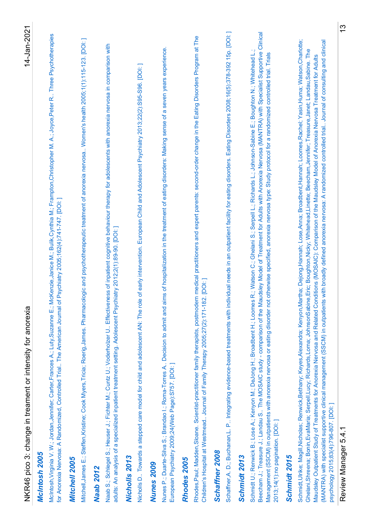| M. A.; Joyce, Peter R<br>McIntosh, Virginia V. W.; Jordan, Jennifer; Carter, Frances A.; Luty, Suzanne E.; McKenzie, Janice M.; Bulik, Cynthia M.; Frampton, Christopher<br>NKR46 pico 3: change in treament or intensity for anorexia<br>McIntosh 2005                                                                                                                                                                                                                            |                                                                                                                                   |
|------------------------------------------------------------------------------------------------------------------------------------------------------------------------------------------------------------------------------------------------------------------------------------------------------------------------------------------------------------------------------------------------------------------------------------------------------------------------------------|-----------------------------------------------------------------------------------------------------------------------------------|
|                                                                                                                                                                                                                                                                                                                                                                                                                                                                                    |                                                                                                                                   |
| for Anorexia Nervosa: A Randomized, Controlled Trial The American Journal of Psychiatry 2005;162(4):741-747. [DOI:]                                                                                                                                                                                                                                                                                                                                                                | Three Psychotherapies                                                                                                             |
| Mitchell 2005                                                                                                                                                                                                                                                                                                                                                                                                                                                                      |                                                                                                                                   |
| Mitchell, James E.; Steffen, Kristine; Cook Myers, Tricia; Roerig, James. Pharmacologic and psychotherapeutic treatment of anorexia nervosa                                                                                                                                                                                                                                                                                                                                        | Women's health 2005;1(1):115-123. [DOI:]                                                                                          |
| Naab S.; Schlegel S.; Heuser J.; Fichter M.; Cuntz U.; Voderholzer U Effectiveness of inpatient cognitive behaviour therapy for adolescents<br><b>Naab 2012</b>                                                                                                                                                                                                                                                                                                                    | with anorexia nervosa in comparison with                                                                                          |
| adults: An analysis of a specialized inpatient treatment setting. Adolescent Psychiatry 2012;2(1):89-90. [DOI:]                                                                                                                                                                                                                                                                                                                                                                    |                                                                                                                                   |
| iatry 2013;22(2):S95-S96. [DOI:]<br>Nicholls D Towards a stepped care model for child and adolescent AN: The role of early intervention. European Child and Adolescent Psych<br><b>Nicholls 2013</b>                                                                                                                                                                                                                                                                               |                                                                                                                                   |
| <b>Nunes 2009</b>                                                                                                                                                                                                                                                                                                                                                                                                                                                                  |                                                                                                                                   |
| Decision to admit and aims of hospitalization in the treatment of eating disorders: Making sense of a seven years experience.<br>Nunes P.; Duarte-Silva S.; Brandao I.; Roma-Torres A<br>European Psychiatry 2009;24(Web Page):S757. [DOI:]                                                                                                                                                                                                                                        |                                                                                                                                   |
| Rhodes 2005                                                                                                                                                                                                                                                                                                                                                                                                                                                                        |                                                                                                                                   |
| Rhodes, Paul; Madden, Sloane. Scientist-practitioner family therapists, postmodern medical practitioners and expert parents: second-order change in the Eating Disorders Program at The<br>Children's Hospital at Westmead Journal of Family Therapy 2005;27(2):171-182. [DOI:]                                                                                                                                                                                                    |                                                                                                                                   |
| Schaffner 2008                                                                                                                                                                                                                                                                                                                                                                                                                                                                     |                                                                                                                                   |
| P Integrating evidence-based treatments with individual needs in an outpatient facility for eating disorders. Eating Disorders 2008;16(5):378-392 15p. [DOI: ]<br>Schaffner, A. D.; Buchanan, L.                                                                                                                                                                                                                                                                                   |                                                                                                                                   |
| Schmidt U.; Renwick B.; Lose A.; Kenyon M.; DeJong H.; Broadbent H.; Loomes R.; Watson C.; Ghelani S.; Serpell L.; Richards L.; Johnson-<br>Beecham J.; Treasure J.; Landau S The MOSAIC study - comparison of the Maudsley Model of Treatment for Adults with Anorexia Nervosa<br>Management (SSCM) in outpatients with anorexia nervosa or eating disorder not otherwise specified, anorexia nervosa type: Study protocol f<br>2013;14(1):no pagination. [DOI: ]<br>Schmidt 2013 | (MANTRA) with Specialist Supportive Clinical<br>Sabine E.; Boughton N.; Whitehead L.;<br>or a randomized controlled trial. Trials |
| Schmidt 2015                                                                                                                                                                                                                                                                                                                                                                                                                                                                       |                                                                                                                                   |
| Maudsley Outpatient Study of Treatments for Anorexia Nervosa and Related Conditions (MOOSAIC): Comparison of the Maudsley Model of Anorexia Nervosa Treatment for Adults<br>Schmidt,Ulrike; Magill,Nicholas; Renwick,Bethany; Keyes,Alexandra; Kenyon,Martha; Dejong,Hannah; Lose,Anna; Broadbent,Hannah; Loom<br>Ghelani,Shreena; Bonin,EvaMaria; Serpell,Lucy; Richards,Lorna; JohnsonSabine,Eric; Boughton,Nicky; Whitehead,Linette; Beecham,Jennife                            | es, Rachel; Yasin, Huma; Watson, Charlotte;<br>rr; Treasure, Janet; Landau, Sabine. The                                           |
| (MANTRA) with specialist supportive clinical management (SSCM) in outpatients with broadly defined anorexia nervosa: A randomized controlled trial Journal of consulting and clinical<br>psychology 2015;83(4):796-807. [DOI:]                                                                                                                                                                                                                                                     |                                                                                                                                   |